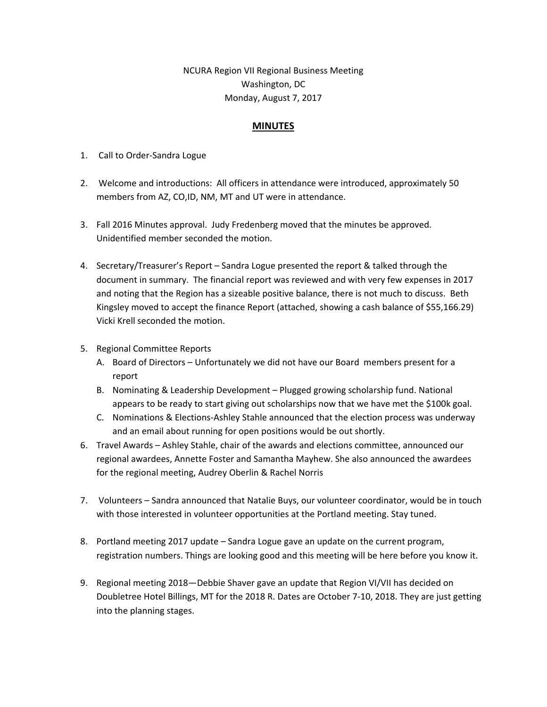NCURA Region VII Regional Business Meeting Washington, DC Monday, August 7, 2017

## **MINUTES**

- 1. Call to Order‐Sandra Logue
- 2. Welcome and introductions: All officers in attendance were introduced, approximately 50 members from AZ, CO,ID, NM, MT and UT were in attendance.
- 3. Fall 2016 Minutes approval. Judy Fredenberg moved that the minutes be approved. Unidentified member seconded the motion.
- 4. Secretary/Treasurer's Report Sandra Logue presented the report & talked through the document in summary. The financial report was reviewed and with very few expenses in 2017 and noting that the Region has a sizeable positive balance, there is not much to discuss. Beth Kingsley moved to accept the finance Report (attached, showing a cash balance of \$55,166.29) Vicki Krell seconded the motion.
- 5. Regional Committee Reports
	- A. Board of Directors Unfortunately we did not have our Board members present for a report
	- B. Nominating & Leadership Development Plugged growing scholarship fund. National appears to be ready to start giving out scholarships now that we have met the \$100k goal.
	- C. Nominations & Elections‐Ashley Stahle announced that the election process was underway and an email about running for open positions would be out shortly.
- 6. Travel Awards Ashley Stahle, chair of the awards and elections committee, announced our regional awardees, Annette Foster and Samantha Mayhew. She also announced the awardees for the regional meeting, Audrey Oberlin & Rachel Norris
- 7. Volunteers Sandra announced that Natalie Buys, our volunteer coordinator, would be in touch with those interested in volunteer opportunities at the Portland meeting. Stay tuned.
- 8. Portland meeting 2017 update Sandra Logue gave an update on the current program, registration numbers. Things are looking good and this meeting will be here before you know it.
- 9. Regional meeting 2018—Debbie Shaver gave an update that Region VI/VII has decided on Doubletree Hotel Billings, MT for the 2018 R. Dates are October 7‐10, 2018. They are just getting into the planning stages.